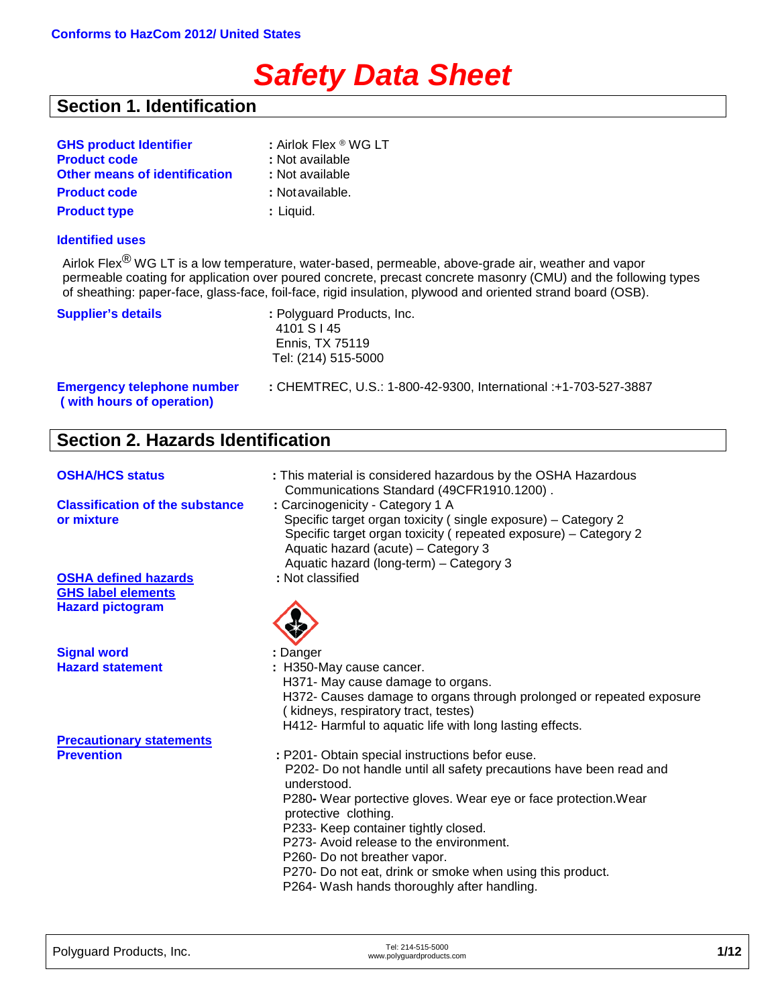# *Safety Data Sheet*

## **Section 1. Identification**

| <b>GHS product Identifier</b>        | : Airlok Flex ® WG LT |
|--------------------------------------|-----------------------|
| <b>Product code</b>                  | : Not available       |
| <b>Other means of identification</b> | : Not available       |
| <b>Product code</b>                  | : Notavailable.       |
| <b>Product type</b>                  | : Liquid.             |

#### **Identified uses**

Airlok Flex<sup>®</sup> WG LT is a low temperature, water-based, permeable, above-grade air, weather and vapor permeable coating for application over poured concrete, precast concrete masonry (CMU) and the following types of sheathing: paper-face, glass-face, foil-face, rigid insulation, plywood and oriented strand board (OSB).

| <b>Supplier's details</b>                                      | : Polyguard Products, Inc.<br>4101 S I 45<br>Ennis, TX 75119<br>Tel: (214) 515-5000 |
|----------------------------------------------------------------|-------------------------------------------------------------------------------------|
| <b>Emergency telephone number</b><br>(with hours of operation) | : CHEMTREC, U.S.: 1-800-42-9300, International :+1-703-527-3887                     |

## **Section 2. Hazards Identification**

| <b>OSHA/HCS status</b>                                                              | : This material is considered hazardous by the OSHA Hazardous<br>Communications Standard (49CFR1910.1200).                                                                                                                                                                                                                                                                                                                                                      |
|-------------------------------------------------------------------------------------|-----------------------------------------------------------------------------------------------------------------------------------------------------------------------------------------------------------------------------------------------------------------------------------------------------------------------------------------------------------------------------------------------------------------------------------------------------------------|
| <b>Classification of the substance</b><br>or mixture                                | : Carcinogenicity - Category 1 A<br>Specific target organ toxicity (single exposure) - Category 2<br>Specific target organ toxicity (repeated exposure) - Category 2<br>Aquatic hazard (acute) - Category 3<br>Aquatic hazard (long-term) - Category 3                                                                                                                                                                                                          |
| <b>OSHA defined hazards</b><br><b>GHS label elements</b><br><b>Hazard pictogram</b> | : Not classified                                                                                                                                                                                                                                                                                                                                                                                                                                                |
| <b>Signal word</b>                                                                  | : Danger                                                                                                                                                                                                                                                                                                                                                                                                                                                        |
| <b>Hazard statement</b>                                                             | : H350-May cause cancer.<br>H371- May cause damage to organs.<br>H372- Causes damage to organs through prolonged or repeated exposure<br>(kidneys, respiratory tract, testes)<br>H412- Harmful to aquatic life with long lasting effects.                                                                                                                                                                                                                       |
| <b>Precautionary statements</b>                                                     |                                                                                                                                                                                                                                                                                                                                                                                                                                                                 |
| <b>Prevention</b>                                                                   | : P201- Obtain special instructions befor euse.<br>P202- Do not handle until all safety precautions have been read and<br>understood.<br>P280- Wear portective gloves. Wear eye or face protection. Wear<br>protective clothing.<br>P233- Keep container tightly closed.<br>P273- Avoid release to the environment.<br>P260- Do not breather vapor.<br>P270- Do not eat, drink or smoke when using this product.<br>P264- Wash hands thoroughly after handling. |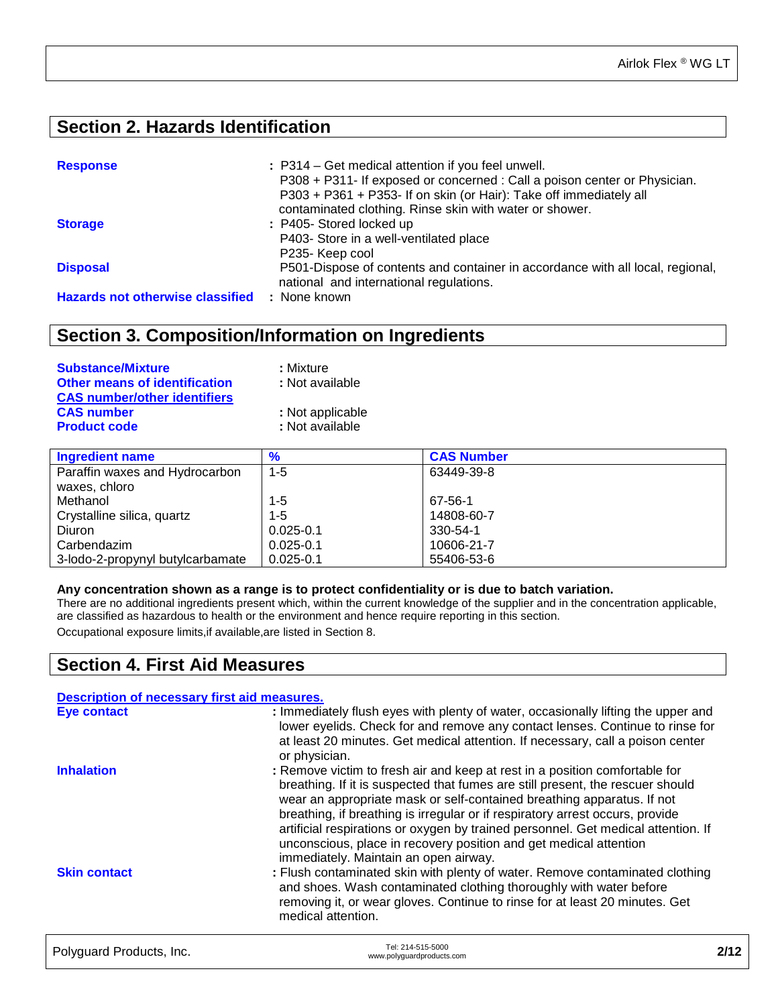## **Section 2. Hazards Identification**

| <b>Response</b>                         | : P314 – Get medical attention if you feel unwell.<br>P308 + P311- If exposed or concerned : Call a poison center or Physician.<br>P303 + P361 + P353- If on skin (or Hair): Take off immediately all |
|-----------------------------------------|-------------------------------------------------------------------------------------------------------------------------------------------------------------------------------------------------------|
|                                         | contaminated clothing. Rinse skin with water or shower.                                                                                                                                               |
| <b>Storage</b>                          | : P405- Stored locked up                                                                                                                                                                              |
|                                         | P403- Store in a well-ventilated place                                                                                                                                                                |
|                                         | P235- Keep cool                                                                                                                                                                                       |
| <b>Disposal</b>                         | P501-Dispose of contents and container in accordance with all local, regional,<br>national and international regulations.                                                                             |
| <b>Hazards not otherwise classified</b> | : None known                                                                                                                                                                                          |

## **Section 3. Composition/Information on Ingredients**

| <b>Substance/Mixture</b>             | : Mixture        |
|--------------------------------------|------------------|
| <b>Other means of identification</b> | : Not available  |
| <b>CAS number/other identifiers</b>  |                  |
| <b>CAS number</b>                    | : Not applicable |
| <b>Product code</b>                  | : Not available  |

| <b>Ingredient name</b>           | $\frac{9}{6}$ | <b>CAS Number</b> |
|----------------------------------|---------------|-------------------|
| Paraffin waxes and Hydrocarbon   | $1 - 5$       | 63449-39-8        |
| waxes, chloro                    |               |                   |
| Methanol                         | $1 - 5$       | 67-56-1           |
| Crystalline silica, quartz       | $1 - 5$       | 14808-60-7        |
| Diuron                           | $0.025 - 0.1$ | 330-54-1          |
| Carbendazim                      | $0.025 - 0.1$ | 10606-21-7        |
| 3-lodo-2-propynyl butylcarbamate | $0.025 - 0.1$ | 55406-53-6        |
|                                  |               |                   |

#### **Any concentration shown as a range is to protect confidentiality or is due to batch variation.**

There are no additional ingredients present which, within the current knowledge of the supplier and in the concentration applicable, are classified as hazardous to health or the environment and hence require reporting in this section.

Occupational exposure limits,if available,are listed in Section 8.

## **Section 4. First Aid Measures**

| Description of necessary first aid measures. |                                                                                                                                                                                                                                                                                                                                                                                                                                                                                                                             |      |
|----------------------------------------------|-----------------------------------------------------------------------------------------------------------------------------------------------------------------------------------------------------------------------------------------------------------------------------------------------------------------------------------------------------------------------------------------------------------------------------------------------------------------------------------------------------------------------------|------|
| <b>Eye contact</b>                           | : Immediately flush eyes with plenty of water, occasionally lifting the upper and<br>lower eyelids. Check for and remove any contact lenses. Continue to rinse for<br>at least 20 minutes. Get medical attention. If necessary, call a poison center<br>or physician.                                                                                                                                                                                                                                                       |      |
| <b>Inhalation</b>                            | : Remove victim to fresh air and keep at rest in a position comfortable for<br>breathing. If it is suspected that fumes are still present, the rescuer should<br>wear an appropriate mask or self-contained breathing apparatus. If not<br>breathing, if breathing is irregular or if respiratory arrest occurs, provide<br>artificial respirations or oxygen by trained personnel. Get medical attention. If<br>unconscious, place in recovery position and get medical attention<br>immediately. Maintain an open airway. |      |
| <b>Skin contact</b>                          | : Flush contaminated skin with plenty of water. Remove contaminated clothing<br>and shoes. Wash contaminated clothing thoroughly with water before<br>removing it, or wear gloves. Continue to rinse for at least 20 minutes. Get<br>medical attention.                                                                                                                                                                                                                                                                     |      |
| Polyguard Products, Inc.                     | Tel: 214-515-5000<br>www.polyguardproducts.com                                                                                                                                                                                                                                                                                                                                                                                                                                                                              | 2/12 |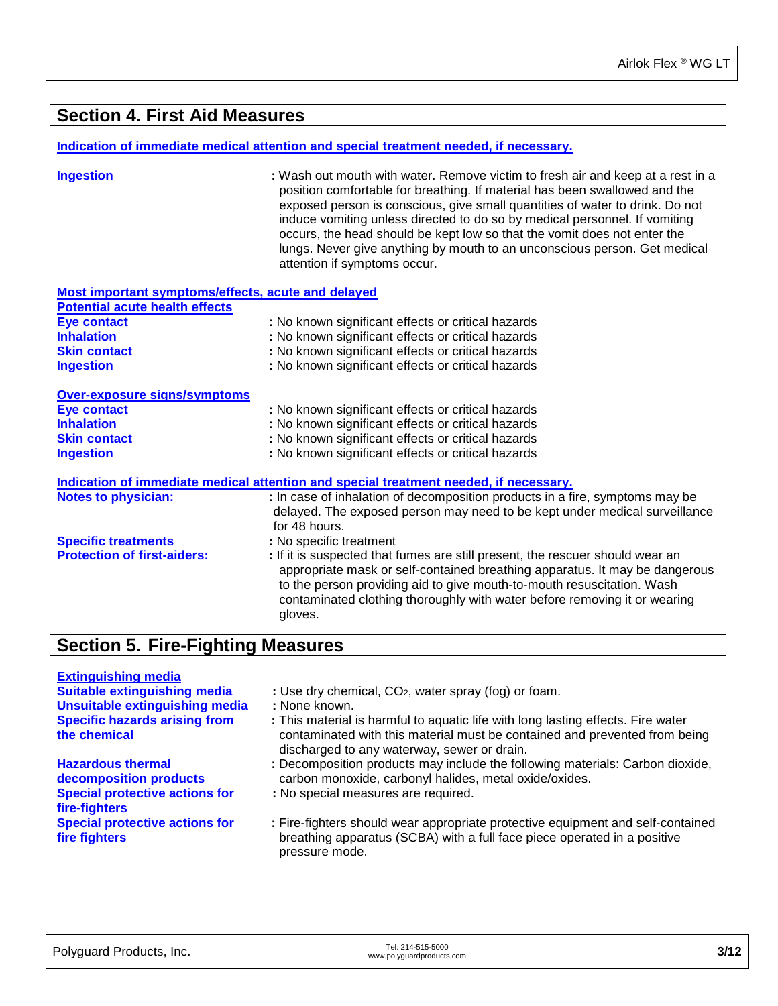### **Section 4. First Aid Measures**

#### **Indication of immediate medical attention and special treatment needed, if necessary.**

**Ingestion :** Wash out mouth with water. Remove victim to fresh air and keep at a rest in a position comfortable for breathing. If material has been swallowed and the exposed person is conscious, give small quantities of water to drink. Do not induce vomiting unless directed to do so by medical personnel. If vomiting occurs, the head should be kept low so that the vomit does not enter the lungs. Never give anything by mouth to an unconscious person. Get medical attention if symptoms occur.

| <b>Most important symptoms/effects, acute and delayed</b> |                                                                                                                                                                                                                                                                                                                                |
|-----------------------------------------------------------|--------------------------------------------------------------------------------------------------------------------------------------------------------------------------------------------------------------------------------------------------------------------------------------------------------------------------------|
| <b>Potential acute health effects</b>                     |                                                                                                                                                                                                                                                                                                                                |
| Eye contact                                               | : No known significant effects or critical hazards                                                                                                                                                                                                                                                                             |
| <b>Inhalation</b>                                         | : No known significant effects or critical hazards                                                                                                                                                                                                                                                                             |
| <b>Skin contact</b>                                       | : No known significant effects or critical hazards                                                                                                                                                                                                                                                                             |
| <b>Ingestion</b>                                          | : No known significant effects or critical hazards                                                                                                                                                                                                                                                                             |
| Over-exposure signs/symptoms                              |                                                                                                                                                                                                                                                                                                                                |
| <b>Eye contact</b>                                        | : No known significant effects or critical hazards                                                                                                                                                                                                                                                                             |
| <b>Inhalation</b>                                         | : No known significant effects or critical hazards                                                                                                                                                                                                                                                                             |
| <b>Skin contact</b>                                       | : No known significant effects or critical hazards                                                                                                                                                                                                                                                                             |
| <b>Ingestion</b>                                          | : No known significant effects or critical hazards                                                                                                                                                                                                                                                                             |
|                                                           | Indication of immediate medical attention and special treatment needed, if necessary.                                                                                                                                                                                                                                          |
| <b>Notes to physician:</b>                                | : In case of inhalation of decomposition products in a fire, symptoms may be<br>delayed. The exposed person may need to be kept under medical surveillance<br>for 48 hours.                                                                                                                                                    |
| <b>Specific treatments</b>                                | : No specific treatment                                                                                                                                                                                                                                                                                                        |
| <b>Protection of first-aiders:</b>                        | : If it is suspected that fumes are still present, the rescuer should wear an<br>appropriate mask or self-contained breathing apparatus. It may be dangerous<br>to the person providing aid to give mouth-to-mouth resuscitation. Wash<br>contaminated clothing thoroughly with water before removing it or wearing<br>gloves. |

### **Section 5. Fire-Fighting Measures**

## **Extinguishing media**

**Unsuitable extinguishing media Specific hazards arising from the chemical**

- **Hazardous thermal decomposition products Special protective actions for fire-fighters Special protective actions for fire fighters**
- **Suitable Extinguish ED<sub>2</sub>, water spray (fog) or foam.**<br> **:** None known.
- 
- **:** This material is harmful to aquatic life with long lasting effects. Fire water contaminated with this material must be contained and prevented from being discharged to any waterway, sewer or drain.
- **:** Decomposition products may include the following materials: Carbon dioxide, carbon monoxide, carbonyl halides, metal oxide/oxides.
- **:** No special measures are required.

**:** Fire-fighters should wear appropriate protective equipment and self-contained breathing apparatus (SCBA) with a full face piece operated in a positive pressure mode.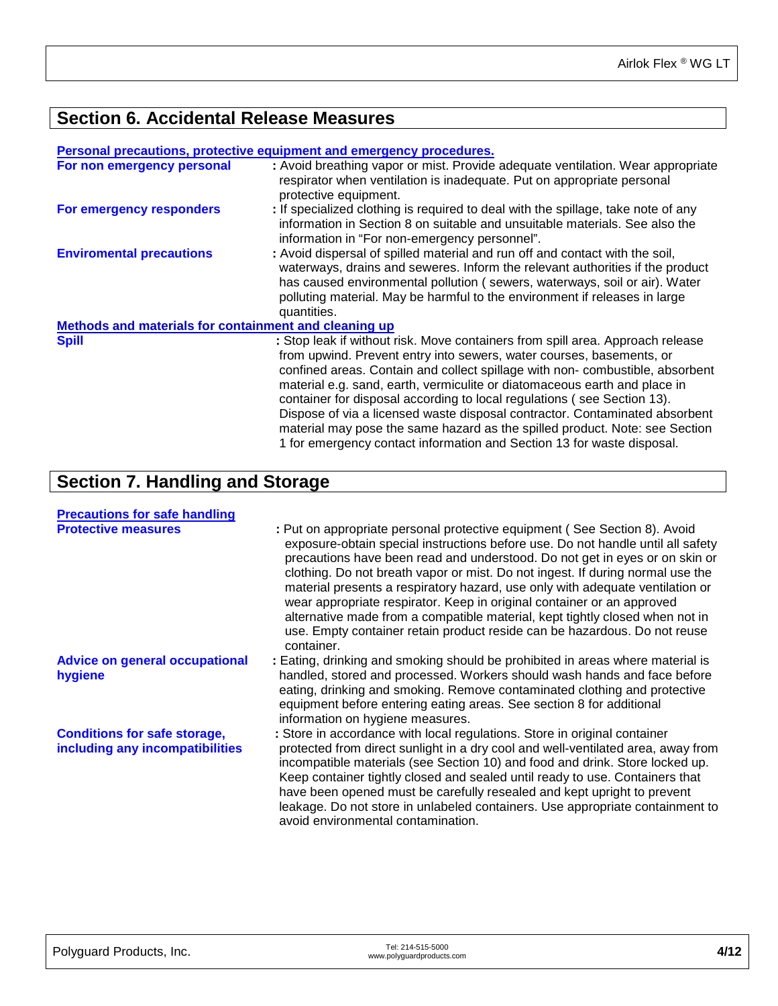## **Section 6. Accidental Release Measures**

|                                                       | Personal precautions, protective equipment and emergency procedures.                                                                                                                                                                                                                                                                                                                                                                                                                                                                                                                                                                   |
|-------------------------------------------------------|----------------------------------------------------------------------------------------------------------------------------------------------------------------------------------------------------------------------------------------------------------------------------------------------------------------------------------------------------------------------------------------------------------------------------------------------------------------------------------------------------------------------------------------------------------------------------------------------------------------------------------------|
| For non emergency personal                            | : Avoid breathing vapor or mist. Provide adequate ventilation. Wear appropriate<br>respirator when ventilation is inadequate. Put on appropriate personal<br>protective equipment.                                                                                                                                                                                                                                                                                                                                                                                                                                                     |
| For emergency responders                              | : If specialized clothing is required to deal with the spillage, take note of any<br>information in Section 8 on suitable and unsuitable materials. See also the<br>information in "For non-emergency personnel".                                                                                                                                                                                                                                                                                                                                                                                                                      |
| <b>Enviromental precautions</b>                       | : Avoid dispersal of spilled material and run off and contact with the soil,<br>waterways, drains and seweres. Inform the relevant authorities if the product<br>has caused environmental pollution (sewers, waterways, soil or air). Water<br>polluting material. May be harmful to the environment if releases in large<br>quantities.                                                                                                                                                                                                                                                                                               |
| Methods and materials for containment and cleaning up |                                                                                                                                                                                                                                                                                                                                                                                                                                                                                                                                                                                                                                        |
| <b>Spill</b>                                          | : Stop leak if without risk. Move containers from spill area. Approach release<br>from upwind. Prevent entry into sewers, water courses, basements, or<br>confined areas. Contain and collect spillage with non-combustible, absorbent<br>material e.g. sand, earth, vermiculite or diatomaceous earth and place in<br>container for disposal according to local regulations (see Section 13).<br>Dispose of via a licensed waste disposal contractor. Contaminated absorbent<br>material may pose the same hazard as the spilled product. Note: see Section<br>1 for emergency contact information and Section 13 for waste disposal. |

## **Section 7. Handling and Storage**

| <b>Precautions for safe handling</b><br><b>Protective measures</b>     | : Put on appropriate personal protective equipment (See Section 8). Avoid<br>exposure-obtain special instructions before use. Do not handle until all safety<br>precautions have been read and understood. Do not get in eyes or on skin or<br>clothing. Do not breath vapor or mist. Do not ingest. If during normal use the<br>material presents a respiratory hazard, use only with adequate ventilation or<br>wear appropriate respirator. Keep in original container or an approved<br>alternative made from a compatible material, kept tightly closed when not in<br>use. Empty container retain product reside can be hazardous. Do not reuse<br>container. |
|------------------------------------------------------------------------|---------------------------------------------------------------------------------------------------------------------------------------------------------------------------------------------------------------------------------------------------------------------------------------------------------------------------------------------------------------------------------------------------------------------------------------------------------------------------------------------------------------------------------------------------------------------------------------------------------------------------------------------------------------------|
| <b>Advice on general occupational</b><br>hygiene                       | : Eating, drinking and smoking should be prohibited in areas where material is<br>handled, stored and processed. Workers should wash hands and face before<br>eating, drinking and smoking. Remove contaminated clothing and protective<br>equipment before entering eating areas. See section 8 for additional<br>information on hygiene measures.                                                                                                                                                                                                                                                                                                                 |
| <b>Conditions for safe storage,</b><br>including any incompatibilities | : Store in accordance with local regulations. Store in original container<br>protected from direct sunlight in a dry cool and well-ventilated area, away from<br>incompatible materials (see Section 10) and food and drink. Store locked up.<br>Keep container tightly closed and sealed until ready to use. Containers that<br>have been opened must be carefully resealed and kept upright to prevent<br>leakage. Do not store in unlabeled containers. Use appropriate containment to<br>avoid environmental contamination.                                                                                                                                     |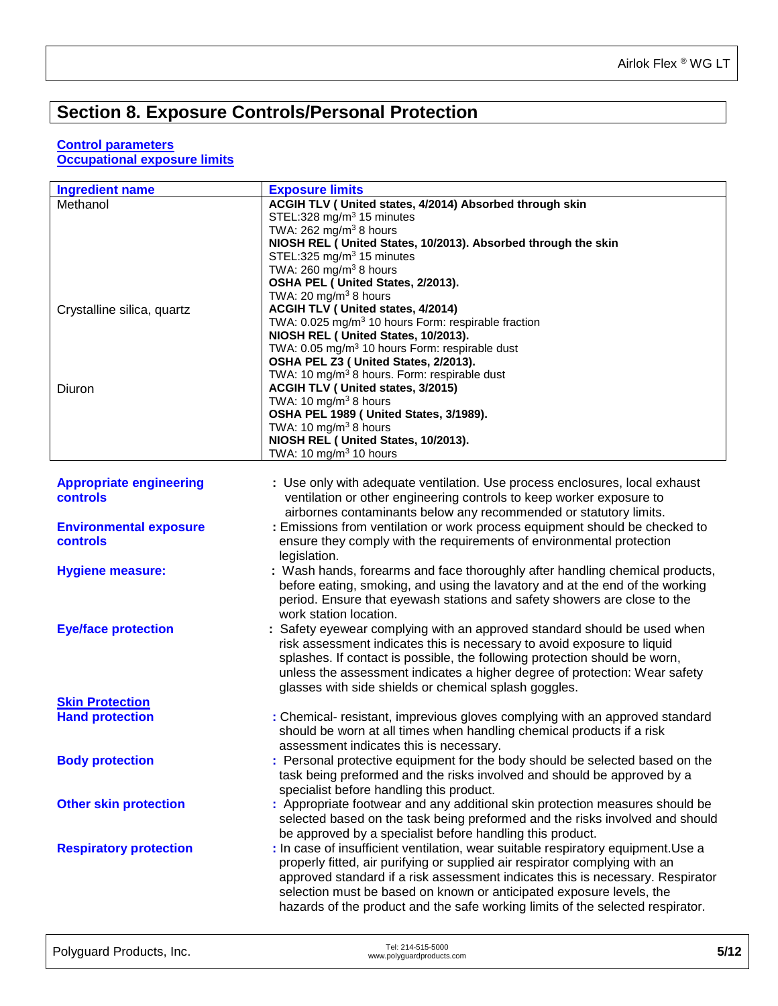## **Section 8. Exposure Controls/Personal Protection**

#### **Control parameters**

**Occupational exposure limits** 

| <b>Ingredient name</b>         | <b>Exposure limits</b>                                                                                                                    |
|--------------------------------|-------------------------------------------------------------------------------------------------------------------------------------------|
| Methanol                       | ACGIH TLV ( United states, 4/2014) Absorbed through skin                                                                                  |
|                                | STEL:328 mg/m <sup>3</sup> 15 minutes                                                                                                     |
|                                | TWA: $262$ mg/m <sup>3</sup> 8 hours                                                                                                      |
|                                | NIOSH REL ( United States, 10/2013). Absorbed through the skin<br>STEL:325 mg/m <sup>3</sup> 15 minutes                                   |
|                                | TWA: 260 mg/m <sup>3</sup> 8 hours                                                                                                        |
|                                | OSHA PEL ( United States, 2/2013).                                                                                                        |
|                                | TWA: 20 mg/m $3$ 8 hours                                                                                                                  |
| Crystalline silica, quartz     | <b>ACGIH TLV ( United states, 4/2014)</b>                                                                                                 |
|                                | TWA: 0.025 mg/m <sup>3</sup> 10 hours Form: respirable fraction                                                                           |
|                                | NIOSH REL ( United States, 10/2013).                                                                                                      |
|                                | TWA: 0.05 mg/m <sup>3</sup> 10 hours Form: respirable dust<br>OSHA PEL Z3 ( United States, 2/2013).                                       |
|                                | TWA: 10 mg/m <sup>3</sup> 8 hours. Form: respirable dust                                                                                  |
| Diuron                         | ACGIH TLV ( United states, 3/2015)                                                                                                        |
|                                | TWA: 10 mg/m <sup>3</sup> 8 hours                                                                                                         |
|                                | OSHA PEL 1989 ( United States, 3/1989).                                                                                                   |
|                                | TWA: 10 mg/m <sup>3</sup> 8 hours                                                                                                         |
|                                | NIOSH REL ( United States, 10/2013).                                                                                                      |
|                                | TWA: 10 mg/m <sup>3</sup> 10 hours                                                                                                        |
| <b>Appropriate engineering</b> | : Use only with adequate ventilation. Use process enclosures, local exhaust                                                               |
| <b>controls</b>                | ventilation or other engineering controls to keep worker exposure to                                                                      |
|                                | airbornes contaminants below any recommended or statutory limits.                                                                         |
| <b>Environmental exposure</b>  | : Emissions from ventilation or work process equipment should be checked to                                                               |
| <b>controls</b>                | ensure they comply with the requirements of environmental protection                                                                      |
|                                | legislation.                                                                                                                              |
| <b>Hygiene measure:</b>        | : Wash hands, forearms and face thoroughly after handling chemical products,                                                              |
|                                | before eating, smoking, and using the lavatory and at the end of the working                                                              |
|                                | period. Ensure that eyewash stations and safety showers are close to the                                                                  |
|                                | work station location.                                                                                                                    |
| <b>Eye/face protection</b>     | : Safety eyewear complying with an approved standard should be used when                                                                  |
|                                | risk assessment indicates this is necessary to avoid exposure to liquid                                                                   |
|                                | splashes. If contact is possible, the following protection should be worn,                                                                |
|                                | unless the assessment indicates a higher degree of protection: Wear safety                                                                |
|                                | glasses with side shields or chemical splash goggles.                                                                                     |
| <b>Skin Protection</b>         |                                                                                                                                           |
| <b>Hand protection</b>         | : Chemical- resistant, imprevious gloves complying with an approved standard                                                              |
|                                | should be worn at all times when handling chemical products if a risk                                                                     |
|                                | assessment indicates this is necessary.                                                                                                   |
| <b>Body protection</b>         | : Personal protective equipment for the body should be selected based on the                                                              |
|                                | task being preformed and the risks involved and should be approved by a                                                                   |
|                                | specialist before handling this product.                                                                                                  |
| <b>Other skin protection</b>   | : Appropriate footwear and any additional skin protection measures should be                                                              |
|                                | selected based on the task being preformed and the risks involved and should<br>be approved by a specialist before handling this product. |
| <b>Respiratory protection</b>  | : In case of insufficient ventilation, wear suitable respiratory equipment. Use a                                                         |
|                                | properly fitted, air purifying or supplied air respirator complying with an                                                               |
|                                | approved standard if a risk assessment indicates this is necessary. Respirator                                                            |
|                                | selection must be based on known or anticipated exposure levels, the                                                                      |
|                                | hazards of the product and the safe working limits of the selected respirator.                                                            |
|                                |                                                                                                                                           |
|                                |                                                                                                                                           |

| Polyguard Products, Inc. | Tel: 214-515-5000<br>www.polyguardproducts.com | 5/12 |
|--------------------------|------------------------------------------------|------|
|                          |                                                |      |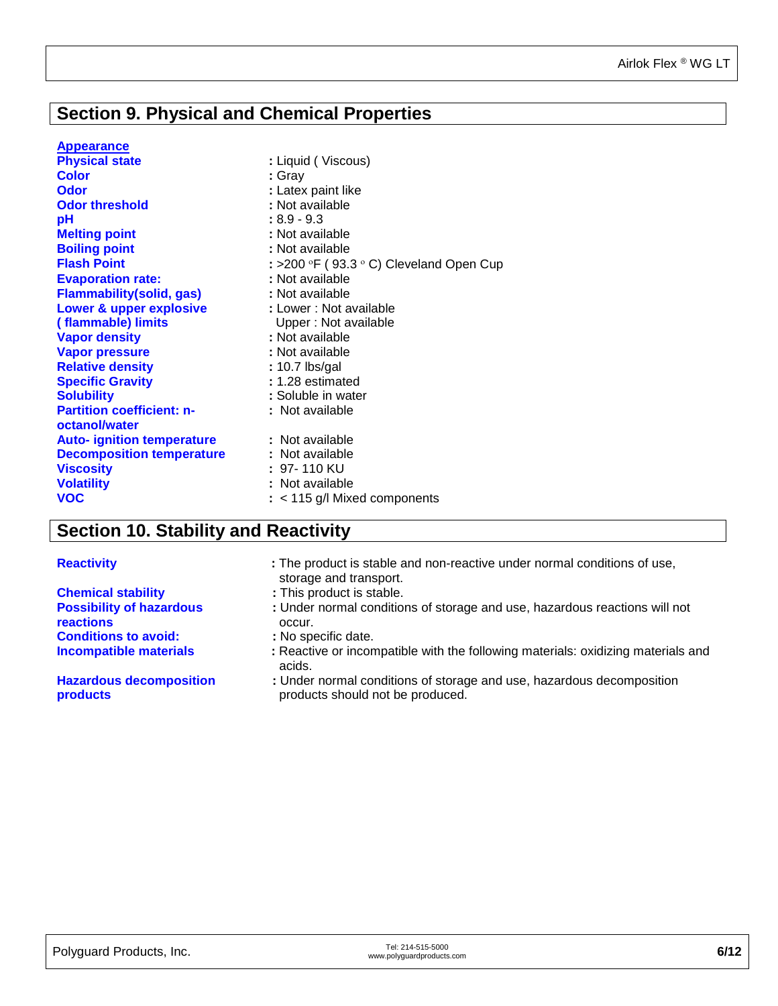## **Section 9. Physical and Chemical Properties**

#### **Appearance**

| <b>Physical state</b>                             | : Liquid (Viscous)                                               |
|---------------------------------------------------|------------------------------------------------------------------|
| <b>Color</b>                                      | : Gray                                                           |
| <b>Odor</b>                                       | : Latex paint like                                               |
| <b>Odor threshold</b>                             | : Not available                                                  |
| pH                                                | $:8.9 - 9.3$                                                     |
| <b>Melting point</b>                              | : Not available                                                  |
| <b>Boiling point</b>                              | : Not available                                                  |
| <b>Flash Point</b>                                | : >200 $\textdegree$ F (93.3 $\textdegree$ C) Cleveland Open Cup |
| <b>Evaporation rate:</b>                          | : Not available                                                  |
| <b>Flammability(solid, gas)</b>                   | : Not available                                                  |
| Lower & upper explosive                           | : Lower : Not available                                          |
| (flammable) limits                                | Upper: Not available                                             |
| <b>Vapor density</b>                              | : Not available                                                  |
| <b>Vapor pressure</b>                             | : Not available                                                  |
| <b>Relative density</b>                           | : 10.7 lbs/gal                                                   |
| <b>Specific Gravity</b>                           | : 1.28 estimated                                                 |
| <b>Solubility</b>                                 | : Soluble in water                                               |
| <b>Partition coefficient: n-</b><br>octanol/water | : Not available                                                  |
| <b>Auto- ignition temperature</b>                 | : Not available                                                  |
| <b>Decomposition temperature</b>                  | : Not available                                                  |
| <b>Viscosity</b>                                  | : 97-110 KU                                                      |
| <b>Volatility</b>                                 | : Not available                                                  |
| <b>VOC</b>                                        | $:$ < 115 g/l Mixed components                                   |

## **Section 10. Stability and Reactivity**

#### **Reactivity :** The product is stable and non-reactive under normal conditions of use,

|                                            | storage and transport.                                                                                    |
|--------------------------------------------|-----------------------------------------------------------------------------------------------------------|
| <b>Chemical stability</b>                  | : This product is stable.                                                                                 |
| <b>Possibility of hazardous</b>            | : Under normal conditions of storage and use, hazardous reactions will not                                |
| <b>reactions</b>                           | occur.                                                                                                    |
| <b>Conditions to avoid:</b>                | : No specific date.                                                                                       |
| <b>Incompatible materials</b>              | : Reactive or incompatible with the following materials: oxidizing materials and<br>acids.                |
| <b>Hazardous decomposition</b><br>products | : Under normal conditions of storage and use, hazardous decomposition<br>products should not be produced. |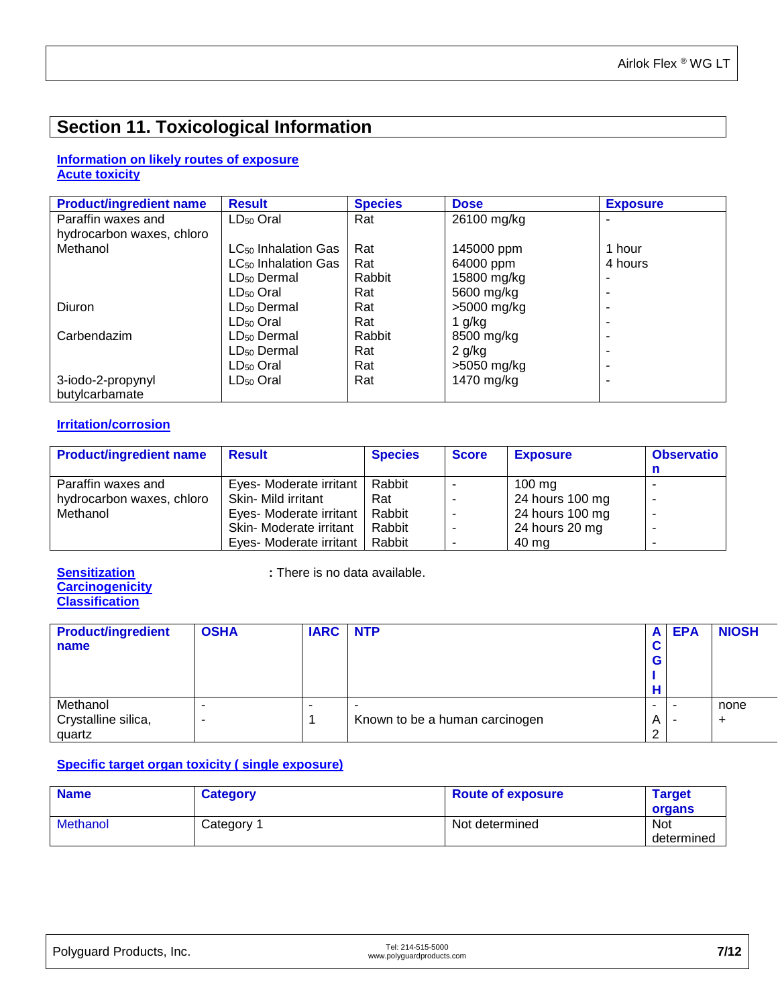## **Section 11. Toxicological Information**

#### **Information on likely routes of exposure Acute toxicity**

| <b>Product/ingredient name</b> | <b>Result</b>                   | <b>Species</b> | <b>Dose</b> | <b>Exposure</b> |
|--------------------------------|---------------------------------|----------------|-------------|-----------------|
| Paraffin waxes and             | $LD_{50}$ Oral                  | Rat            | 26100 mg/kg |                 |
| hydrocarbon waxes, chloro      |                                 |                |             |                 |
| Methanol                       | LC <sub>50</sub> Inhalation Gas | Rat            | 145000 ppm  | 1 hour          |
|                                | LC <sub>50</sub> Inhalation Gas | Rat            | 64000 ppm   | 4 hours         |
|                                | $LD50$ Dermal                   | Rabbit         | 15800 mg/kg |                 |
|                                | $LD50$ Oral                     | Rat            | 5600 mg/kg  |                 |
| Diuron                         | LD <sub>50</sub> Dermal         | Rat            | >5000 mg/kg |                 |
|                                | $LD50$ Oral                     | Rat            | 1 g/kg      |                 |
| Carbendazim                    | LD <sub>50</sub> Dermal         | Rabbit         | 8500 mg/kg  |                 |
|                                | LD <sub>50</sub> Dermal         | Rat            | $2$ g/kg    |                 |
|                                | $LD_{50}$ Oral                  | Rat            | >5050 mg/kg |                 |
| 3-iodo-2-propynyl              | $LD_{50}$ Oral                  | Rat            | 1470 mg/kg  |                 |
| butylcarbamate                 |                                 |                |             |                 |

#### **Irritation/corrosion**

| <b>Product/ingredient name</b> | <b>Result</b>           | <b>Species</b> | <b>Score</b> | <b>Exposure</b>  | <b>Observatio</b> |
|--------------------------------|-------------------------|----------------|--------------|------------------|-------------------|
|                                |                         |                |              |                  |                   |
| Paraffin waxes and             | Eyes- Moderate irritant | Rabbit         |              | $100 \text{ mg}$ |                   |
| hydrocarbon waxes, chloro      | Skin- Mild irritant     | Rat            | -            | 24 hours 100 mg  |                   |
| Methanol                       | Eyes- Moderate irritant | Rabbit         | ۰            | 24 hours 100 mg  |                   |
|                                | Skin- Moderate irritant | Rabbit         |              | 24 hours 20 mg   |                   |
|                                | Eyes- Moderate irritant | Rabbit         |              | 40 mg            |                   |

## **Carcinogenicity Classification**

**Sensitization : There is no data available.** 

| <b>Product/ingredient</b><br>name | <b>OSHA</b> | <b>IARC NTP</b> |                                | A<br>G. | <b>EPA</b> | <b>NIOSH</b> |
|-----------------------------------|-------------|-----------------|--------------------------------|---------|------------|--------------|
| Methanol<br>Crystalline silica,   |             |                 | Known to be a human carcinogen | A       |            | none<br>÷    |
| quartz                            |             |                 |                                |         |            |              |

### **Specific target organ toxicity ( single exposure)**

| <b>Name</b>     | <b>Category</b> | <b>Route of exposure</b> | <b>Target</b><br>organs  |
|-----------------|-----------------|--------------------------|--------------------------|
| <b>Methanol</b> | Category 1      | Not determined           | <b>Not</b><br>determined |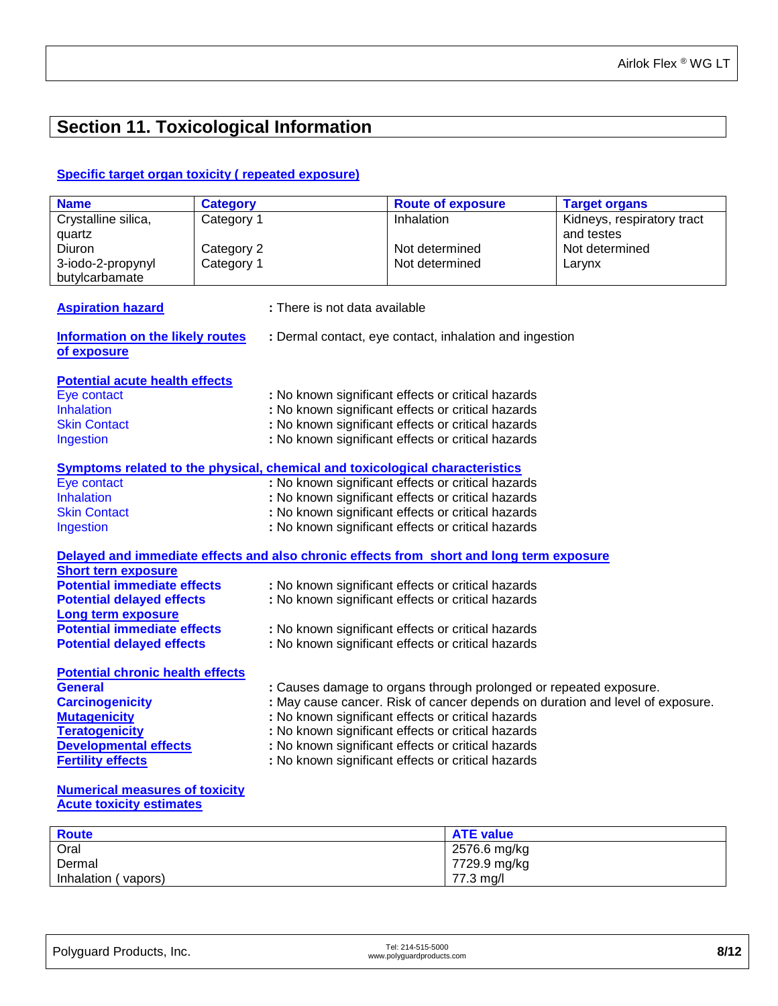## **Section 11. Toxicological Information**

#### **Specific target organ toxicity ( repeated exposure)**

| <b>Name</b>                                                                  | <b>Category</b> |                                                    | <b>Route of exposure</b>                                                                 | <b>Target organs</b>       |
|------------------------------------------------------------------------------|-----------------|----------------------------------------------------|------------------------------------------------------------------------------------------|----------------------------|
| Crystalline silica,                                                          | Category 1      |                                                    | Inhalation                                                                               | Kidneys, respiratory tract |
| quartz                                                                       |                 |                                                    |                                                                                          | and testes                 |
| Diuron                                                                       | Category 2      |                                                    | Not determined                                                                           | Not determined             |
| 3-iodo-2-propynyl                                                            | Category 1      |                                                    | Not determined                                                                           | Larynx                     |
| butylcarbamate                                                               |                 |                                                    |                                                                                          |                            |
|                                                                              |                 |                                                    |                                                                                          |                            |
| <b>Aspiration hazard</b>                                                     |                 | : There is not data available                      |                                                                                          |                            |
| <b>Information on the likely routes</b>                                      |                 |                                                    | : Dermal contact, eye contact, inhalation and ingestion                                  |                            |
| of exposure                                                                  |                 |                                                    |                                                                                          |                            |
|                                                                              |                 |                                                    |                                                                                          |                            |
| <b>Potential acute health effects</b>                                        |                 |                                                    |                                                                                          |                            |
| Eye contact                                                                  |                 |                                                    | : No known significant effects or critical hazards                                       |                            |
| Inhalation                                                                   |                 |                                                    | : No known significant effects or critical hazards                                       |                            |
| <b>Skin Contact</b>                                                          |                 |                                                    | : No known significant effects or critical hazards                                       |                            |
| Ingestion                                                                    |                 |                                                    | : No known significant effects or critical hazards                                       |                            |
|                                                                              |                 |                                                    |                                                                                          |                            |
| Symptoms related to the physical, chemical and toxicological characteristics |                 |                                                    |                                                                                          |                            |
| Eye contact                                                                  |                 |                                                    | : No known significant effects or critical hazards                                       |                            |
| Inhalation                                                                   |                 |                                                    | : No known significant effects or critical hazards                                       |                            |
| <b>Skin Contact</b>                                                          |                 | : No known significant effects or critical hazards |                                                                                          |                            |
| Ingestion                                                                    |                 |                                                    | : No known significant effects or critical hazards                                       |                            |
|                                                                              |                 |                                                    | Delayed and immediate effects and also chronic effects from short and long term exposure |                            |
| <b>Short tern exposure</b>                                                   |                 |                                                    |                                                                                          |                            |
| <b>Potential immediate effects</b>                                           |                 |                                                    | : No known significant effects or critical hazards                                       |                            |
| <b>Potential delayed effects</b>                                             |                 |                                                    | : No known significant effects or critical hazards                                       |                            |
| <b>Long term exposure</b>                                                    |                 |                                                    |                                                                                          |                            |
| <b>Potential immediate effects</b>                                           |                 |                                                    | : No known significant effects or critical hazards                                       |                            |
| <b>Potential delayed effects</b>                                             |                 |                                                    | : No known significant effects or critical hazards                                       |                            |
|                                                                              |                 |                                                    |                                                                                          |                            |
| <b>Potential chronic health effects</b>                                      |                 |                                                    |                                                                                          |                            |
| <b>General</b>                                                               |                 |                                                    | : Causes damage to organs through prolonged or repeated exposure.                        |                            |
| <b>Carcinogenicity</b>                                                       |                 |                                                    | : May cause cancer. Risk of cancer depends on duration and level of exposure.            |                            |
| <b>Mutagenicity</b>                                                          |                 |                                                    | : No known significant effects or critical hazards                                       |                            |
| <b>Teratogenicity</b>                                                        |                 |                                                    | : No known significant effects or critical hazards                                       |                            |
| <b>Developmental effects</b>                                                 |                 |                                                    | : No known significant effects or critical hazards                                       |                            |
| <b>Fertility effects</b>                                                     |                 |                                                    | : No known significant effects or critical hazards                                       |                            |
|                                                                              |                 |                                                    |                                                                                          |                            |
| <b>Numerical measures of toxicity</b>                                        |                 |                                                    |                                                                                          |                            |

#### **Acute toxicity estimates**

| <b>Route</b>              | <b>ATE value</b> |
|---------------------------|------------------|
| Oral                      | 2576.6 mg/kg     |
| Dermal                    | 7729.9 mg/kg     |
| Inhalation (<br>' vapors) | 77.3 mg/l        |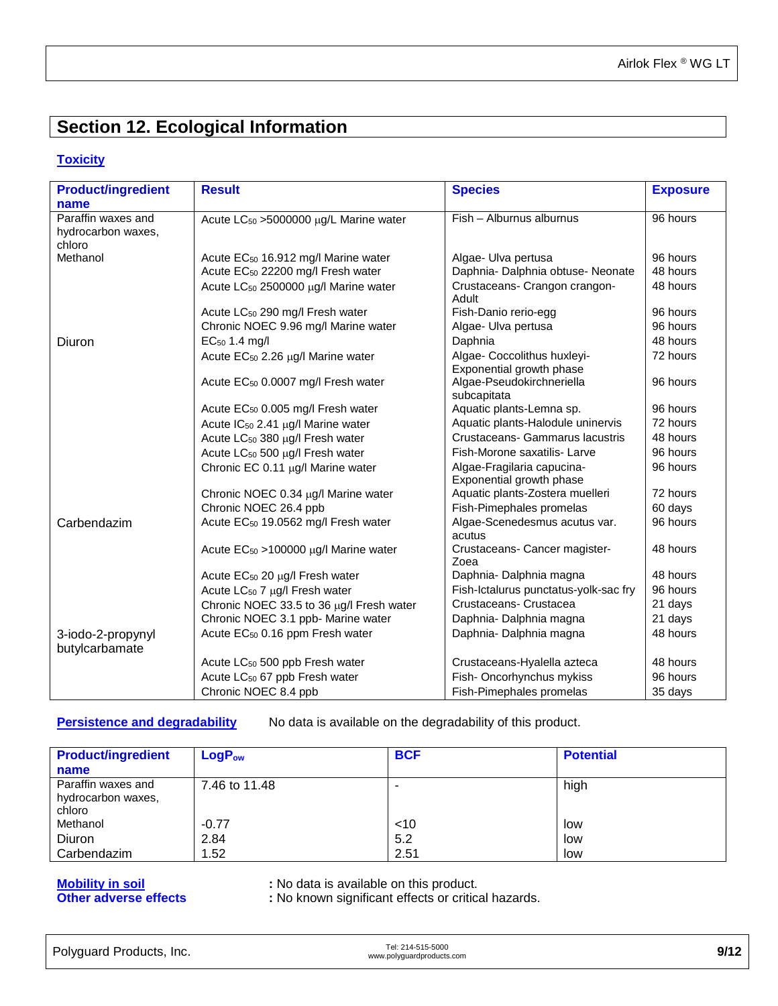## **Section 12. Ecological Information**

#### **Toxicity**

| <b>Product/ingredient</b> | <b>Result</b>                                      | <b>Species</b>                                        | <b>Exposure</b> |
|---------------------------|----------------------------------------------------|-------------------------------------------------------|-----------------|
| name                      |                                                    |                                                       |                 |
| Paraffin waxes and        | Acute LC <sub>50</sub> > 5000000 µg/L Marine water | Fish - Alburnus alburnus                              | 96 hours        |
| hydrocarbon waxes,        |                                                    |                                                       |                 |
| chloro                    |                                                    |                                                       |                 |
| Methanol                  | Acute EC <sub>50</sub> 16.912 mg/l Marine water    | Algae- Ulva pertusa                                   | 96 hours        |
|                           | Acute EC <sub>50</sub> 22200 mg/l Fresh water      | Daphnia- Dalphnia obtuse- Neonate                     | 48 hours        |
|                           | Acute LC <sub>50</sub> 2500000 µg/l Marine water   | Crustaceans- Crangon crangon-<br>Adult                | 48 hours        |
|                           | Acute LC <sub>50</sub> 290 mg/l Fresh water        | Fish-Danio rerio-egg                                  | 96 hours        |
|                           | Chronic NOEC 9.96 mg/l Marine water                | Algae- Ulva pertusa                                   | 96 hours        |
| Diuron                    | EC <sub>50</sub> 1.4 mg/l                          | Daphnia                                               | 48 hours        |
|                           | Acute EC <sub>50</sub> 2.26 µg/l Marine water      | Algae- Coccolithus huxleyi-                           | 72 hours        |
|                           | Acute EC <sub>50</sub> 0.0007 mg/l Fresh water     | Exponential growth phase<br>Algae-Pseudokirchneriella | 96 hours        |
|                           |                                                    | subcapitata                                           |                 |
|                           | Acute EC <sub>50</sub> 0.005 mg/l Fresh water      | Aquatic plants-Lemna sp.                              | 96 hours        |
|                           | Acute IC <sub>50</sub> 2.41 µg/l Marine water      | Aquatic plants-Halodule uninervis                     | 72 hours        |
|                           | Acute LC <sub>50</sub> 380 µg/l Fresh water        | Crustaceans- Gammarus lacustris                       | 48 hours        |
|                           | Acute LC <sub>50</sub> 500 µg/l Fresh water        | Fish-Morone saxatilis- Larve                          | 96 hours        |
|                           | Chronic EC 0.11 µg/l Marine water                  | Algae-Fragilaria capucina-                            | 96 hours        |
|                           |                                                    | Exponential growth phase                              |                 |
|                           | Chronic NOEC 0.34 µg/l Marine water                | Aquatic plants-Zostera muelleri                       | 72 hours        |
|                           | Chronic NOEC 26.4 ppb                              | Fish-Pimephales promelas                              | 60 days         |
| Carbendazim               | Acute EC <sub>50</sub> 19.0562 mg/l Fresh water    | Algae-Scenedesmus acutus var.<br>acutus               | 96 hours        |
|                           | Acute $EC_{50} > 100000 \mu g/l$ Marine water      | Crustaceans- Cancer magister-                         | 48 hours        |
|                           |                                                    | Zoea                                                  | 48 hours        |
|                           | Acute $EC_{50}$ 20 $\mu$ g/l Fresh water           | Daphnia- Dalphnia magna                               |                 |
|                           | Acute LC <sub>50</sub> 7 µg/l Fresh water          | Fish-Ictalurus punctatus-yolk-sac fry                 | 96 hours        |
|                           | Chronic NOEC 33.5 to 36 µg/l Fresh water           | Crustaceans-Crustacea                                 | 21 days         |
|                           | Chronic NOEC 3.1 ppb- Marine water                 | Daphnia- Dalphnia magna                               | 21 days         |
| 3-iodo-2-propynyl         | Acute EC <sub>50</sub> 0.16 ppm Fresh water        | Daphnia-Dalphnia magna                                | 48 hours        |
| butylcarbamate            |                                                    |                                                       |                 |
|                           | Acute LC <sub>50</sub> 500 ppb Fresh water         | Crustaceans-Hyalella azteca                           | 48 hours        |
|                           | Acute LC <sub>50</sub> 67 ppb Fresh water          | Fish-Oncorhynchus mykiss                              | 96 hours        |
|                           | Chronic NOEC 8.4 ppb                               | Fish-Pimephales promelas                              | 35 days         |

**Persistence and degradability** No data is available on the degradability of this product.

| <b>Product/ingredient</b> | $LogP_{ow}$   | <b>BCF</b> | <b>Potential</b> |
|---------------------------|---------------|------------|------------------|
| name                      |               |            |                  |
| Paraffin waxes and        | 7.46 to 11.48 | -          | high             |
| hydrocarbon waxes,        |               |            |                  |
| chloro                    |               |            |                  |
| Methanol                  | $-0.77$       | $<$ 10     | low              |
| Diuron                    | 2.84          | 5.2        | low              |
| Carbendazim               | 1.52          | 2.51       | low              |

## **Mobility in soil**<br> **City in solution of the contract of the solution of the adverse effects**<br> **Example 1** : No known significant effects or critical

**Other adverse effects :** No known significant effects or critical hazards.

| Polyguard Products, Inc. | Tel: 214-515-5000<br>www.polyguardproducts.com | 9/12 |
|--------------------------|------------------------------------------------|------|
|                          |                                                |      |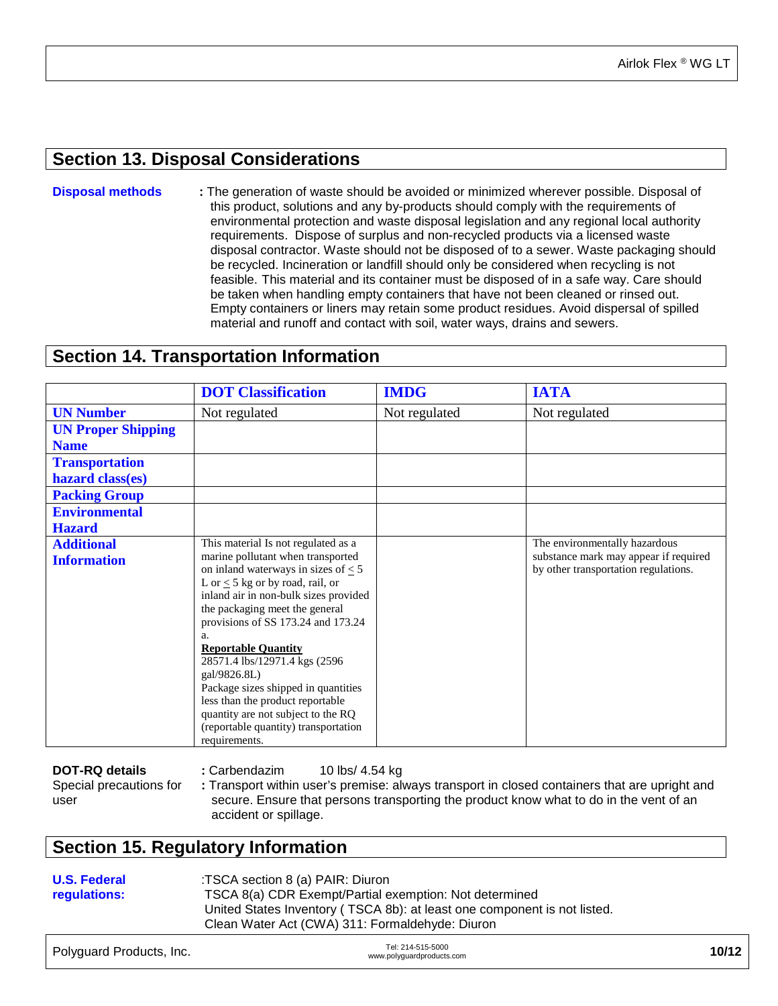### **Section 13. Disposal Considerations**

**Disposal methods :** The generation of waste should be avoided or minimized wherever possible. Disposal of this product, solutions and any by-products should comply with the requirements of environmental protection and waste disposal legislation and any regional local authority requirements. Dispose of surplus and non-recycled products via a licensed waste disposal contractor. Waste should not be disposed of to a sewer. Waste packaging should be recycled. Incineration or landfill should only be considered when recycling is not feasible. This material and its container must be disposed of in a safe way. Care should be taken when handling empty containers that have not been cleaned or rinsed out. Empty containers or liners may retain some product residues. Avoid dispersal of spilled material and runoff and contact with soil, water ways, drains and sewers.

### **Section 14. Transportation Information**

|                                         | <b>DOT</b> Classification                                                                                                                                                                                                                                                                                                                                                                                                                                                                                                                      | <b>IMDG</b>   | <b>IATA</b>                                                                                                    |
|-----------------------------------------|------------------------------------------------------------------------------------------------------------------------------------------------------------------------------------------------------------------------------------------------------------------------------------------------------------------------------------------------------------------------------------------------------------------------------------------------------------------------------------------------------------------------------------------------|---------------|----------------------------------------------------------------------------------------------------------------|
| <b>UN Number</b>                        | Not regulated                                                                                                                                                                                                                                                                                                                                                                                                                                                                                                                                  | Not regulated | Not regulated                                                                                                  |
| <b>UN Proper Shipping</b>               |                                                                                                                                                                                                                                                                                                                                                                                                                                                                                                                                                |               |                                                                                                                |
| <b>Name</b>                             |                                                                                                                                                                                                                                                                                                                                                                                                                                                                                                                                                |               |                                                                                                                |
| <b>Transportation</b>                   |                                                                                                                                                                                                                                                                                                                                                                                                                                                                                                                                                |               |                                                                                                                |
| hazard class(es)                        |                                                                                                                                                                                                                                                                                                                                                                                                                                                                                                                                                |               |                                                                                                                |
| <b>Packing Group</b>                    |                                                                                                                                                                                                                                                                                                                                                                                                                                                                                                                                                |               |                                                                                                                |
| <b>Environmental</b>                    |                                                                                                                                                                                                                                                                                                                                                                                                                                                                                                                                                |               |                                                                                                                |
| <b>Hazard</b>                           |                                                                                                                                                                                                                                                                                                                                                                                                                                                                                                                                                |               |                                                                                                                |
| <b>Additional</b><br><b>Information</b> | This material Is not regulated as a<br>marine pollutant when transported<br>on inland waterways in sizes of $\leq$ 5<br>L or $\leq$ 5 kg or by road, rail, or<br>inland air in non-bulk sizes provided<br>the packaging meet the general<br>provisions of SS 173.24 and 173.24<br>a.<br><b>Reportable Quantity</b><br>28571.4 lbs/12971.4 kgs (2596)<br>gal/9826.8L)<br>Package sizes shipped in quantities<br>less than the product reportable<br>quantity are not subject to the RQ<br>(reportable quantity) transportation<br>requirements. |               | The environmentally hazardous<br>substance mark may appear if required<br>by other transportation regulations. |

| DOT-RQ details          | : Carbendazim         | 10 lbs/ 4.54 ka                                                                               |
|-------------------------|-----------------------|-----------------------------------------------------------------------------------------------|
| Special precautions for |                       | : Transport within user's premise: always transport in closed containers that are upright and |
| user                    |                       | secure. Ensure that persons transporting the product know what to do in the vent of an        |
|                         | accident or spillage. |                                                                                               |

### **Section 15. Regulatory Information**

**U.S. Federal regulations:** :TSCA section 8 (a) PAIR: Diuron TSCA 8(a) CDR Exempt/Partial exemption: Not determined United States Inventory ( TSCA 8b): at least one component is not listed. Clean Water Act (CWA) 311: Formaldehyde: Diuron

| Polyguard Products, Inc. | Tel: 214-515-5000<br>www.polyguardproducts.com | 10/12 |
|--------------------------|------------------------------------------------|-------|
|                          |                                                |       |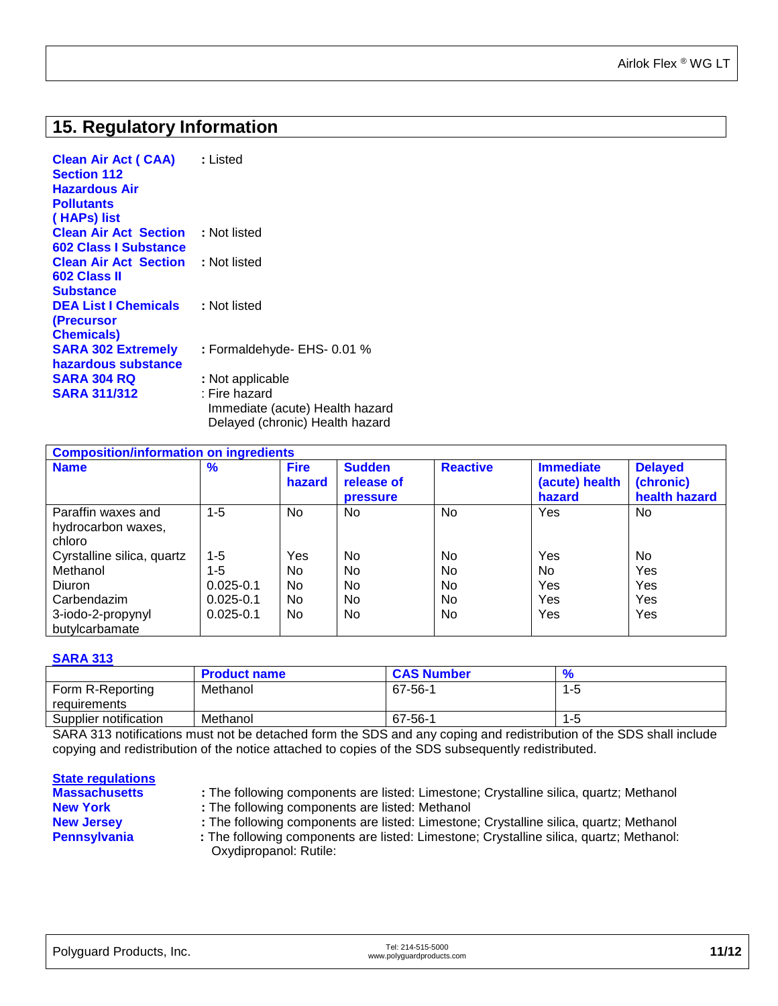## **15. Regulatory Information**

| : Listed                                                                            |
|-------------------------------------------------------------------------------------|
|                                                                                     |
|                                                                                     |
| <b>Clean Air Act Section</b><br>: Not listed                                        |
|                                                                                     |
| <b>Clean Air Act Section : Not listed</b>                                           |
|                                                                                     |
|                                                                                     |
| : Not listed                                                                        |
|                                                                                     |
|                                                                                     |
| : Formaldehyde- EHS- 0.01 %                                                         |
|                                                                                     |
| : Not applicable                                                                    |
| : Fire hazard<br>Immediate (acute) Health hazard<br>Delayed (chronic) Health hazard |
|                                                                                     |

| <b>Composition/information on ingredients</b>      |               |                       |                                                |                 |                                              |                                              |
|----------------------------------------------------|---------------|-----------------------|------------------------------------------------|-----------------|----------------------------------------------|----------------------------------------------|
| <b>Name</b>                                        | $\frac{9}{6}$ | <b>Fire</b><br>hazard | <b>Sudden</b><br>release of<br><b>pressure</b> | <b>Reactive</b> | <b>Immediate</b><br>(acute) health<br>hazard | <b>Delayed</b><br>(chronic)<br>health hazard |
| Paraffin waxes and<br>hydrocarbon waxes,<br>chloro | $1 - 5$       | No.                   | No.                                            | No.             | Yes                                          | No                                           |
| Cyrstalline silica, quartz                         | $1 - 5$       | Yes                   | No                                             | N <sub>0</sub>  | Yes                                          | No.                                          |
| Methanol                                           | $1 - 5$       | No.                   | No                                             | <b>No</b>       | No                                           | Yes                                          |
| Diuron                                             | $0.025 - 0.1$ | No.                   | No                                             | <b>No</b>       | Yes                                          | Yes                                          |
| Carbendazim                                        | $0.025 - 0.1$ | No.                   | No.                                            | N <sub>0</sub>  | Yes                                          | Yes                                          |
| 3-iodo-2-propynyl<br>butylcarbamate                | $0.025 - 0.1$ | No.                   | No.                                            | No.             | Yes                                          | Yes                                          |

#### **SARA 313**

|                       | <b>Product name</b> | <b>CAS Number</b> | 70  |
|-----------------------|---------------------|-------------------|-----|
| Form R-Reporting      | Methanol            | 67-56-1           | ל-י |
| requirements          |                     |                   |     |
| Supplier notification | Methanol            | 67-56-1           | 1-5 |
|                       |                     |                   |     |

SARA 313 notifications must not be detached form the SDS and any coping and redistribution of the SDS shall include copying and redistribution of the notice attached to copies of the SDS subsequently redistributed.

| <b>State regulations</b> |                                                                                                                   |
|--------------------------|-------------------------------------------------------------------------------------------------------------------|
| <b>Massachusetts</b>     | : The following components are listed: Limestone; Crystalline silica, quartz; Methanol                            |
| <b>New York</b>          | : The following components are listed: Methanol                                                                   |
| <b>New Jersey</b>        | : The following components are listed: Limestone; Crystalline silica, quartz; Methanol                            |
| <b>Pennsylvania</b>      | : The following components are listed: Limestone; Crystalline silica, quartz; Methanol:<br>Oxydipropanol: Rutile: |